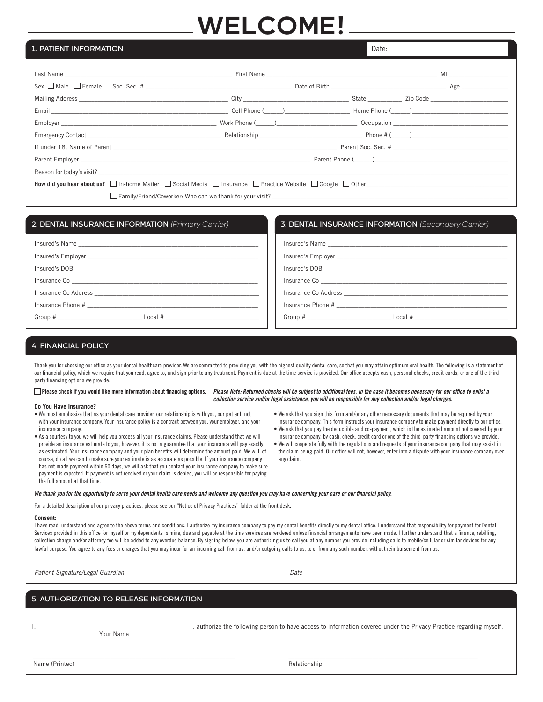# **WELCOME!**

# 1. PATIENT INFORMATION

| Last Name <b>Markov and Markov Community Community</b> First Name <b>Community Community Community Community Community Community Community Community Community Community Community Community Community Community Community Community </b> |  |  |  |  |
|-------------------------------------------------------------------------------------------------------------------------------------------------------------------------------------------------------------------------------------------|--|--|--|--|
|                                                                                                                                                                                                                                           |  |  |  |  |
|                                                                                                                                                                                                                                           |  |  |  |  |
|                                                                                                                                                                                                                                           |  |  |  |  |
|                                                                                                                                                                                                                                           |  |  |  |  |
|                                                                                                                                                                                                                                           |  |  |  |  |
| If under 18, Name of Parent League and Communication of the Communication of the Parent Soc. Sec. #                                                                                                                                       |  |  |  |  |
|                                                                                                                                                                                                                                           |  |  |  |  |
|                                                                                                                                                                                                                                           |  |  |  |  |
|                                                                                                                                                                                                                                           |  |  |  |  |
|                                                                                                                                                                                                                                           |  |  |  |  |

| 2. DENTAL INSURANCE INFORMATION (Primary Carrier)                                                                                                                                                                                    | <b>3. DENTAL INSURANCE INFORMATION</b> (Secondary Carrier) |
|--------------------------------------------------------------------------------------------------------------------------------------------------------------------------------------------------------------------------------------|------------------------------------------------------------|
|                                                                                                                                                                                                                                      |                                                            |
|                                                                                                                                                                                                                                      |                                                            |
|                                                                                                                                                                                                                                      |                                                            |
| Insurance Co <b>contract of the contract of the contract of the contract of the contract of the contract of the contract of the contract of the contract of the contract of the contract of the contract of the contract of the </b> |                                                            |
|                                                                                                                                                                                                                                      |                                                            |
|                                                                                                                                                                                                                                      |                                                            |
|                                                                                                                                                                                                                                      |                                                            |

# 4. FINANCIAL POLICY

Thank you for choosing our office as your dental healthcare provider. We are committed to providing you with the highest quality dental care, so that you may attain optimum oral health. The following is a statement of our financial policy, which we require that you read, agree to, and sign prior to any treatment. Payment is due at the time service is provided. Our office accepts cash, personal checks, credit cards, or one of the thirdparty financing options we provide.

 $\Box$  Please check if you would like more information about financing options. *Please Note: Returned checks will be subject to additional fees. In the case it becomes necessary for our office to enlist a collection service and/or legal assistance, you will be responsible for any collection and/or legal charges.*

#### **Do You Have Insurance?**

- We must emphasize that as your dental care provider, our relationship is with you, our patient, not with your insurance company. Your insurance policy is a contract between you, your employer, and your insurance company.
- As a courtesy to you we will help you process all your insurance claims. Please understand that we will provide an insurance estimate to you, however, it is not a guarantee that your insurance will pay exactly as estimated. Your insurance company and your plan benefits will determine the amount paid. We will, of course, do all we can to make sure your estimate is as accurate as possible. If your insurance company has not made payment within 60 days, we will ask that you contact your insurance company to make sure payment is expected. If payment is not received or your claim is denied, you will be responsible for paying the full amount at that time.
- We ask that you sign this form and/or any other necessary documents that may be required by your insurance company. This form instructs your insurance company to make payment directly to our office.

Date:

- We ask that you pay the deductible and co-payment, which is the estimated amount not covered by your insurance company, by cash, check, credit card or one of the third-party financing options we provide.
- We will cooperate fully with the regulations and requests of your insurance company that may assist in the claim being paid. Our office will not, however, enter into a dispute with your insurance company over any claim.

### *We thank you for the opportunity to serve your dental health care needs and welcome any question you may have concerning your care or our financial policy.*

For a detailed description of our privacy practices, please see our "Notice of Privacy Practices" folder at the front desk.

#### **Consent:**

I have read, understand and agree to the above terms and conditions. I authorize my insurance company to pay my dental benefits directly to my dental office. I understand that responsibility for payment for Dental Services provided in this office for myself or my dependents is mine, due and payable at the time services are rendered unless financial arrangements have been made. I further understand that a finance, rebilling, collection charge and/or attorney fee will be added to any overdue balance. By signing below, you are authorizing us to call you at any number you provide including calls to mobile/cellular or similar devices for any lawful purpose. You agree to any fees or charges that you may incur for an incoming call from us, and/or outgoing calls to us, to or from any such number, without reimbursement from us.

\_\_\_\_\_\_\_\_\_\_\_\_\_\_\_\_\_\_\_\_\_\_\_\_\_\_\_\_\_\_\_\_\_\_\_\_\_\_\_\_\_\_\_\_\_\_\_\_\_\_\_\_\_\_\_\_\_\_\_\_\_\_\_\_\_ \_\_\_\_\_\_\_\_\_\_\_\_\_\_\_\_\_\_\_\_\_\_\_\_\_\_\_\_\_\_\_\_\_\_\_\_\_\_\_\_\_\_\_\_\_\_\_\_\_\_\_\_\_\_\_\_\_\_\_\_\_

\_\_\_\_\_\_\_\_\_\_\_\_\_\_\_\_\_\_\_\_\_\_\_\_\_\_\_\_\_\_\_\_\_\_\_\_\_\_\_\_\_\_\_\_\_\_\_\_\_\_\_\_\_\_\_\_\_\_\_\_\_\_\_\_\_ \_\_\_\_\_\_\_\_\_\_\_\_\_\_\_\_\_\_\_\_\_\_\_\_\_\_\_\_\_\_\_\_\_\_\_\_\_\_\_\_\_\_\_\_\_\_\_\_\_\_\_\_\_\_\_\_\_\_\_\_\_

| Patient Signature/Legal Guardian | Date |
|----------------------------------|------|
|----------------------------------|------|

# 5. AUTHORIZATION TO RELEASE INFORMATION

Your Name

I, \_\_\_\_\_\_\_\_\_\_\_\_\_\_\_\_\_\_\_\_\_\_\_\_\_\_\_\_\_\_\_\_\_\_\_\_\_\_\_\_\_\_\_\_\_\_\_\_\_\_, authorize the following person to have access to information covered under the Privacy Practice regarding myself.

Name (Printed) Relationship